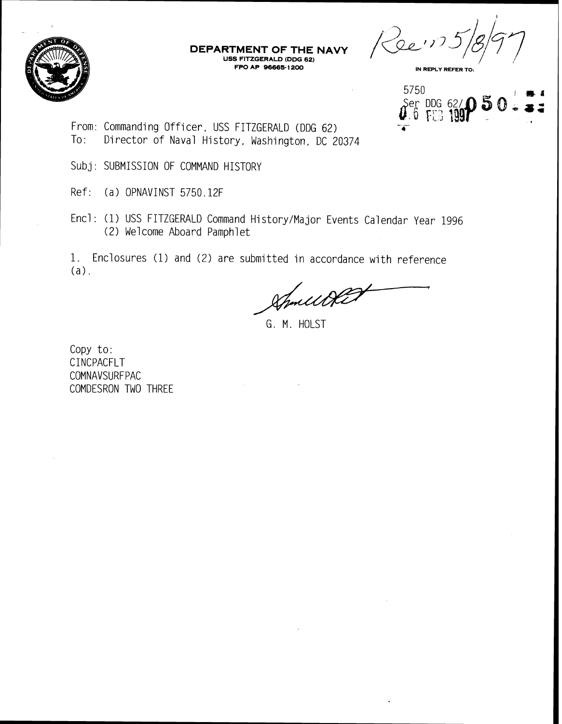

## **DEPARTMENT OF THE NAVY USS FITZGERALD (DDG 62) FPO AP 96665- 1 200**

Reem. **IN REPLY REFER TO:** 

5750 Ser DDG 62/1<br>0.6 FEB 1991

- From: Commanding Officer, USS FITZGERALD (DDG 62) TO: Director of Naval History, Washington, DC 20374
- Subj: SUBMISSION OF COMMAND HISTORY
- Ref: (a) OPNAVINST 5750.12F
- Encl: (1) USS FITZGERALD Command History/Major Events Calendar Year 1996 (2) Welcome Aboard Pamphlet

1. Enclosures (1) and (2) are submitted in accordance with reference (a).

Smillet

G. M. HOLST

Copy to: CINCPACFLT COMNAVSURFPAC COMDESRON TWO THREE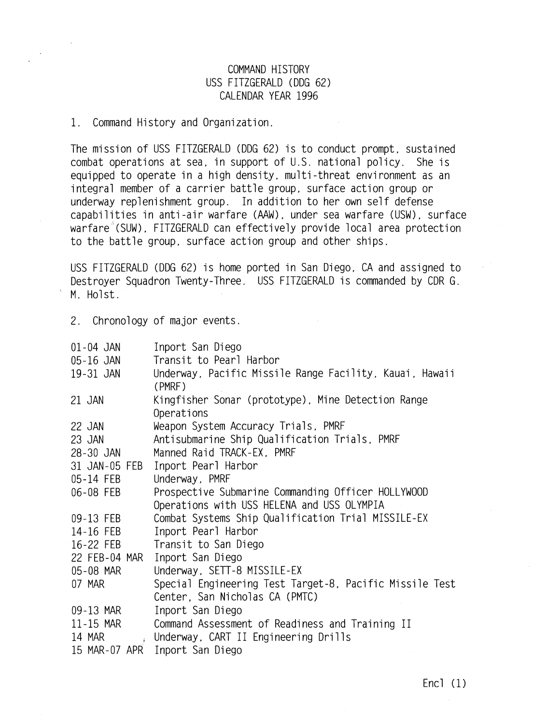## COMMAND HISTORY USS FITZGERALD (DDG 62) CALENDAR YEAR 1996

1. Command History and Organization.

The mission of USS FITZGERALD (DDG 62) is to conduct prompt, sustained combat operations at sea, in support of U.S. national policy. She is equipped to operate in a high density, multi-threat environment as an integral member of a carrier battle group, surface action group or underway replenishment group. In addition to her own self defense capabilities in anti-air warfare (AAW), under sea warfare (USW), surface warfare (SUW), FITZGERALD can effectively provide local area protection to the battle group, surface action group and other ships.

USS FITZGERALD (DDG 62) is home ported in San Diego. CA and assigned to Destroyer Squadron Twenty-Three. USS FITZGERALD is commanded by CDR G. M. Holst.

2. Chronology of major events.

| 01-04 JAN     | Inport San Diego                                                  |
|---------------|-------------------------------------------------------------------|
| 05-16 JAN     | Transit to Pearl Harbor                                           |
| 19-31 JAN     | Underway, Pacific Missile Range Facility, Kauai, Hawaii<br>(PMRF) |
| 21 JAN        | Kingfisher Sonar (prototype), Mine Detection Range<br>Operations  |
| 22 JAN        | Weapon System Accuracy Trials, PMRF                               |
| 23 JAN        | Antisubmarine Ship Qualification Trials, PMRF                     |
| 28-30 JAN     | Manned Raid TRACK-EX, PMRF                                        |
| 31 JAN-05 FEB | Inport Pearl Harbor                                               |
| 05-14 FEB     | Underway, PMRF                                                    |
| 06-08 FEB     | Prospective Submarine Commanding Officer HOLLYWOOD                |
|               | Operations with USS HELENA and USS OLYMPIA                        |
| 09-13 FEB     | Combat Systems Ship Qualification Trial MISSILE-EX                |
| 14-16 FEB     | Inport Pearl Harbor                                               |
| 16-22 FEB     | Transit to San Diego                                              |
| 22 FEB-04 MAR | Inport San Diego                                                  |
| 05-08 MAR     | Underway, SETT-8 MISSILE-EX                                       |
| 07 MAR        | Special Engineering Test Target-8, Pacific Missile Test           |
|               | Center, San Nicholas CA (PMTC)                                    |
| 09-13 MAR     | Inport San Diego                                                  |
| 11-15 MAR     | Command Assessment of Readiness and Training II                   |
| 14 MAR        | Underway, CART II Engineering Drills                              |
| 15 MAR-07 APR | Inport San Diego                                                  |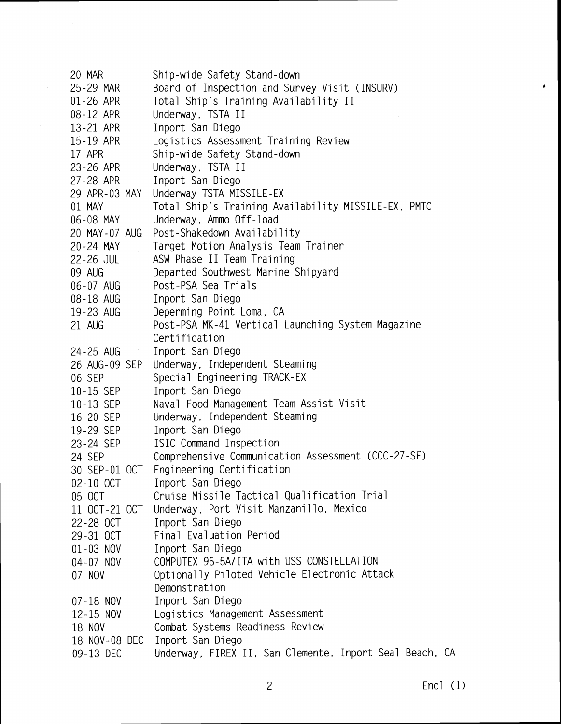20 MAR Ship-wide Safety Stand-down 25-29 MAR Board of Inspection and Survey Visit (INSURV) 01-26 APR Total Ship's Training Availability II 08-12 APR Underway, TSTA II 13-21 APR Inport San Diego 15-19 APR Logistics Assessment Training Review 17 APR Ship-wide Safety Stand-down Underway, TSTA II 23-26 APR 27-28 APR Inport San Diego Underway TSTA MISSILE-EX 29 APR-03 MAY Total Ship's Training Availability MISSILE-EX, PMTC 01 MAY Underway, Ammo Off-load 06-08 MAY 20 MAY-07 AUG Post-Shakedown Availability 20-24 MAY Target Motion Analysis Team Trainer 22-26 JUL ASW Phase II Team Training Departed Southwest Marine Shipyard 09 AUG Post-PSA Sea Trials 06-07 AUG 08-18 AUG Inport San Diego Deperming Point Loma, CA 19-23 AUG Post-PSA MK-41 Vertical Launching System Magazine 21 AUG Certification Inport San Diego 24-25 AUG Underway, Independent Steaming 26 AUG-09 SEP Special Engineering TRACK-EX 06 SEP Inport San Diego 10-15 SEP 10-13 SEP Naval Food Management Team Assist Visit Underway. Independent Steaming 16-20 SEP Inport San Diego 19-29 SEP ISIC Command Inspection 23-24 SEP 24 SEP Comprehensive Communication Assessment (CCC-27-SF) 30 SEP-01 OCT Engineering Certification 02-10 OCT Inport San Diego 05 OCT Cruise Missile Tactical Qualification Trial Underway, Port Visit Manzanillo, Mexico 11 OCT-21 OCT Inport San Diego 22-28 OCT Final Evaluation Period 29-31 OCT 01-03 NOV Inport San Diego COMPUTEX 95-5A/ITA with USS CONSTELLATION 04-07 NOV 07 NOV Optionally Piloted Vehicle Electronic Attack Demonstration Inport San Diego 07-18 NOV Logistics Management Assessment 12-15 NOV Combat Systems Readiness Review 18 NOV 18 NOV-08 DEC Inport San Diego Underway, FIREX II, San Clemente, Inport Seal Beach, CA 09-13 DEC

 $\bullet$